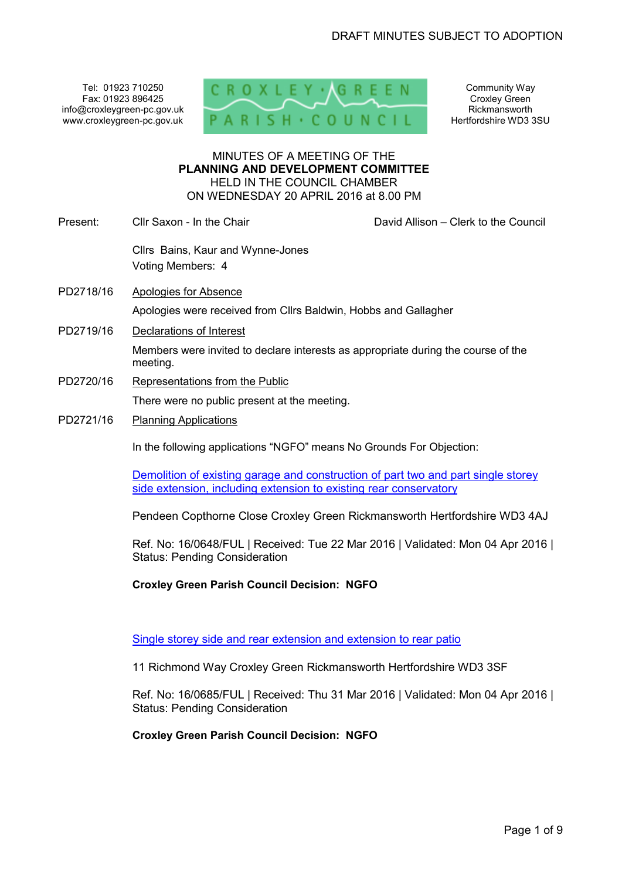Tel: 01923 710250 Fax: 01923 896425 info@croxleygreen-pc.gov.uk www.croxleygreen-pc.gov.uk



Community Way Croxley Green Rickmansworth Hertfordshire WD3 3SU

#### MINUTES OF A MEETING OF THE **PLANNING AND DEVELOPMENT COMMITTEE** HELD IN THE COUNCIL CHAMBER ON WEDNESDAY 20 APRIL 2016 at 8.00 PM

- Present: Cllr Saxon In the Chair Chair Chair David Allison Clerk to the Council Cllrs Bains, Kaur and Wynne-Jones Voting Members: 4
- PD2718/16 Apologies for Absence Apologies were received from Cllrs Baldwin, Hobbs and Gallagher
- PD2719/16 Declarations of Interest

Members were invited to declare interests as appropriate during the course of the meeting.

PD2720/16 Representations from the Public

There were no public present at the meeting.

PD2721/16 Planning Applications

In the following applications "NGFO" means No Grounds For Objection:

Demolition of existing garage and construction of part two and part single storey side extension, including extension to existing rear conservatory

Pendeen Copthorne Close Croxley Green Rickmansworth Hertfordshire WD3 4AJ

Ref. No: 16/0648/FUL | Received: Tue 22 Mar 2016 | Validated: Mon 04 Apr 2016 | Status: Pending Consideration

**Croxley Green Parish Council Decision: NGFO** 

Single storey side and rear extension and extension to rear patio

11 Richmond Way Croxley Green Rickmansworth Hertfordshire WD3 3SF

Ref. No: 16/0685/FUL | Received: Thu 31 Mar 2016 | Validated: Mon 04 Apr 2016 | Status: Pending Consideration

**Croxley Green Parish Council Decision: NGFO**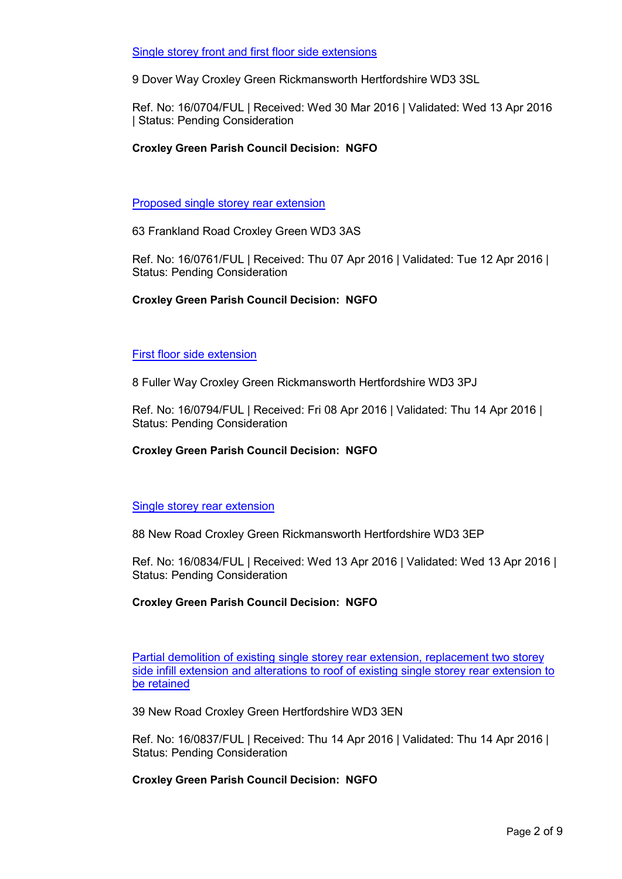### Single storey front and first floor side extensions

9 Dover Way Croxley Green Rickmansworth Hertfordshire WD3 3SL

Ref. No: 16/0704/FUL | Received: Wed 30 Mar 2016 | Validated: Wed 13 Apr 2016 | Status: Pending Consideration

#### **Croxley Green Parish Council Decision: NGFO**

Proposed single storey rear extension

63 Frankland Road Croxley Green WD3 3AS

Ref. No: 16/0761/FUL | Received: Thu 07 Apr 2016 | Validated: Tue 12 Apr 2016 | Status: Pending Consideration

### **Croxley Green Parish Council Decision: NGFO**

#### First floor side extension

8 Fuller Way Croxley Green Rickmansworth Hertfordshire WD3 3PJ

Ref. No: 16/0794/FUL | Received: Fri 08 Apr 2016 | Validated: Thu 14 Apr 2016 | Status: Pending Consideration

#### **Croxley Green Parish Council Decision: NGFO**

#### Single storey rear extension

88 New Road Croxley Green Rickmansworth Hertfordshire WD3 3EP

Ref. No: 16/0834/FUL | Received: Wed 13 Apr 2016 | Validated: Wed 13 Apr 2016 | Status: Pending Consideration

## **Croxley Green Parish Council Decision: NGFO**

Partial demolition of existing single storey rear extension, replacement two storey side infill extension and alterations to roof of existing single storey rear extension to be retained

39 New Road Croxley Green Hertfordshire WD3 3EN

Ref. No: 16/0837/FUL | Received: Thu 14 Apr 2016 | Validated: Thu 14 Apr 2016 | Status: Pending Consideration

## **Croxley Green Parish Council Decision: NGFO**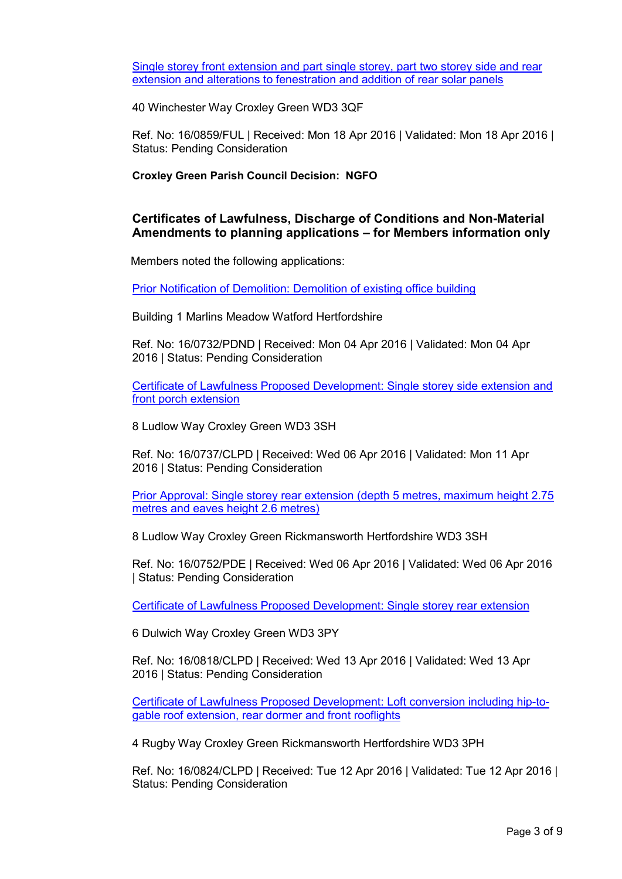Single storey front extension and part single storey, part two storey side and rear extension and alterations to fenestration and addition of rear solar panels

40 Winchester Way Croxley Green WD3 3QF

Ref. No: 16/0859/FUL | Received: Mon 18 Apr 2016 | Validated: Mon 18 Apr 2016 | Status: Pending Consideration

**Croxley Green Parish Council Decision: NGFO** 

## **Certificates of Lawfulness, Discharge of Conditions and Non-Material Amendments to planning applications – for Members information only**

Members noted the following applications:

Prior Notification of Demolition: Demolition of existing office building

Building 1 Marlins Meadow Watford Hertfordshire

Ref. No: 16/0732/PDND | Received: Mon 04 Apr 2016 | Validated: Mon 04 Apr 2016 | Status: Pending Consideration

Certificate of Lawfulness Proposed Development: Single storey side extension and front porch extension

8 Ludlow Way Croxley Green WD3 3SH

Ref. No: 16/0737/CLPD | Received: Wed 06 Apr 2016 | Validated: Mon 11 Apr 2016 | Status: Pending Consideration

Prior Approval: Single storey rear extension (depth 5 metres, maximum height 2.75 metres and eaves height 2.6 metres)

8 Ludlow Way Croxley Green Rickmansworth Hertfordshire WD3 3SH

Ref. No: 16/0752/PDE | Received: Wed 06 Apr 2016 | Validated: Wed 06 Apr 2016 | Status: Pending Consideration

Certificate of Lawfulness Proposed Development: Single storey rear extension

6 Dulwich Way Croxley Green WD3 3PY

Ref. No: 16/0818/CLPD | Received: Wed 13 Apr 2016 | Validated: Wed 13 Apr 2016 | Status: Pending Consideration

Certificate of Lawfulness Proposed Development: Loft conversion including hip-togable roof extension, rear dormer and front rooflights

4 Rugby Way Croxley Green Rickmansworth Hertfordshire WD3 3PH

Ref. No: 16/0824/CLPD | Received: Tue 12 Apr 2016 | Validated: Tue 12 Apr 2016 | Status: Pending Consideration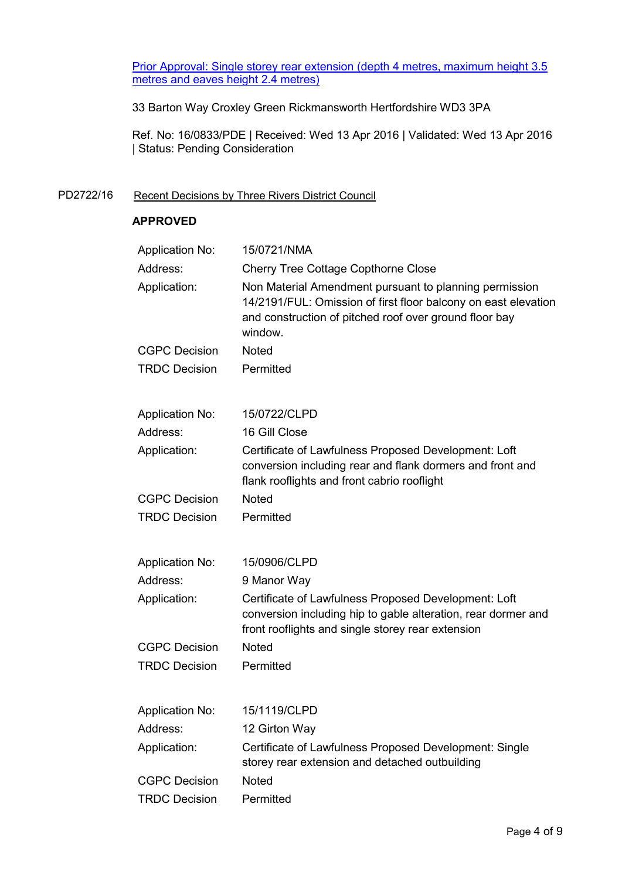Prior Approval: Single storey rear extension (depth 4 metres, maximum height 3.5 metres and eaves height 2.4 metres)

33 Barton Way Croxley Green Rickmansworth Hertfordshire WD3 3PA

Ref. No: 16/0833/PDE | Received: Wed 13 Apr 2016 | Validated: Wed 13 Apr 2016 | Status: Pending Consideration

## PD2722/16 Recent Decisions by Three Rivers District Council

## **APPROVED**

| <b>Application No:</b> | 15/0721/NMA                                                                                                                                                                                   |
|------------------------|-----------------------------------------------------------------------------------------------------------------------------------------------------------------------------------------------|
| Address:               | <b>Cherry Tree Cottage Copthorne Close</b>                                                                                                                                                    |
| Application:           | Non Material Amendment pursuant to planning permission<br>14/2191/FUL: Omission of first floor balcony on east elevation<br>and construction of pitched roof over ground floor bay<br>window. |
| <b>CGPC Decision</b>   | <b>Noted</b>                                                                                                                                                                                  |
| <b>TRDC Decision</b>   | Permitted                                                                                                                                                                                     |
| <b>Application No:</b> | 15/0722/CLPD                                                                                                                                                                                  |
| Address:               | 16 Gill Close                                                                                                                                                                                 |
| Application:           | Certificate of Lawfulness Proposed Development: Loft<br>conversion including rear and flank dormers and front and<br>flank rooflights and front cabrio rooflight                              |
| <b>CGPC Decision</b>   | <b>Noted</b>                                                                                                                                                                                  |
| <b>TRDC Decision</b>   | Permitted                                                                                                                                                                                     |
| <b>Application No:</b> | 15/0906/CLPD                                                                                                                                                                                  |
| Address:               | 9 Manor Way                                                                                                                                                                                   |
| Application:           | Certificate of Lawfulness Proposed Development: Loft<br>conversion including hip to gable alteration, rear dormer and<br>front rooflights and single storey rear extension                    |
| <b>CGPC Decision</b>   | <b>Noted</b>                                                                                                                                                                                  |
| <b>TRDC Decision</b>   | Permitted                                                                                                                                                                                     |
| <b>Application No:</b> | 15/1119/CLPD                                                                                                                                                                                  |
| Address:               | 12 Girton Way                                                                                                                                                                                 |
| Application:           | Certificate of Lawfulness Proposed Development: Single<br>storey rear extension and detached outbuilding                                                                                      |
| <b>CGPC Decision</b>   | Noted                                                                                                                                                                                         |
| <b>TRDC Decision</b>   | Permitted                                                                                                                                                                                     |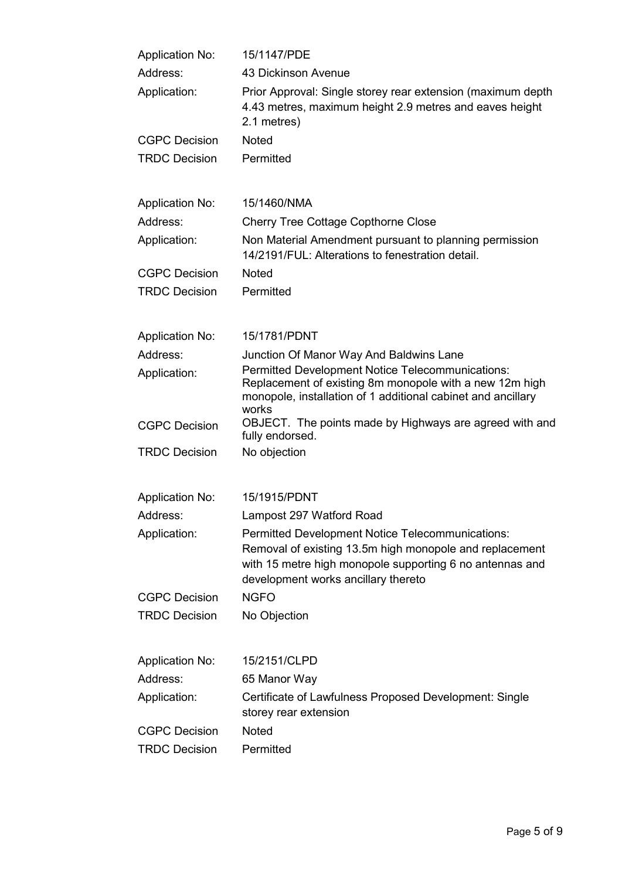| <b>Application No:</b> | 15/1147/PDE                                                                                                                                                                                                    |
|------------------------|----------------------------------------------------------------------------------------------------------------------------------------------------------------------------------------------------------------|
| Address:               | 43 Dickinson Avenue                                                                                                                                                                                            |
| Application:           | Prior Approval: Single storey rear extension (maximum depth<br>4.43 metres, maximum height 2.9 metres and eaves height<br>2.1 metres)                                                                          |
| <b>CGPC Decision</b>   | <b>Noted</b>                                                                                                                                                                                                   |
| <b>TRDC Decision</b>   | Permitted                                                                                                                                                                                                      |
| <b>Application No:</b> | 15/1460/NMA                                                                                                                                                                                                    |
| Address:               | <b>Cherry Tree Cottage Copthorne Close</b>                                                                                                                                                                     |
| Application:           | Non Material Amendment pursuant to planning permission<br>14/2191/FUL: Alterations to fenestration detail.                                                                                                     |
| <b>CGPC Decision</b>   | <b>Noted</b>                                                                                                                                                                                                   |
| <b>TRDC Decision</b>   | Permitted                                                                                                                                                                                                      |
| <b>Application No:</b> | 15/1781/PDNT                                                                                                                                                                                                   |
| Address:               | Junction Of Manor Way And Baldwins Lane                                                                                                                                                                        |
| Application:           | <b>Permitted Development Notice Telecommunications:</b><br>Replacement of existing 8m monopole with a new 12m high<br>monopole, installation of 1 additional cabinet and ancillary<br>works                    |
| <b>CGPC Decision</b>   | OBJECT. The points made by Highways are agreed with and<br>fully endorsed.                                                                                                                                     |
| <b>TRDC Decision</b>   | No objection                                                                                                                                                                                                   |
| <b>Application No:</b> | 15/1915/PDNT                                                                                                                                                                                                   |
| Address:               | Lampost 297 Watford Road                                                                                                                                                                                       |
| Application:           | Permitted Development Notice Telecommunications:<br>Removal of existing 13.5m high monopole and replacement<br>with 15 metre high monopole supporting 6 no antennas and<br>development works ancillary thereto |
| <b>CGPC Decision</b>   | <b>NGFO</b>                                                                                                                                                                                                    |
| <b>TRDC Decision</b>   | No Objection                                                                                                                                                                                                   |
| <b>Application No:</b> | 15/2151/CLPD                                                                                                                                                                                                   |
| Address:               | 65 Manor Way                                                                                                                                                                                                   |
| Application:           | Certificate of Lawfulness Proposed Development: Single<br>storey rear extension                                                                                                                                |
| <b>CGPC Decision</b>   | <b>Noted</b>                                                                                                                                                                                                   |
| <b>TRDC Decision</b>   | Permitted                                                                                                                                                                                                      |
|                        |                                                                                                                                                                                                                |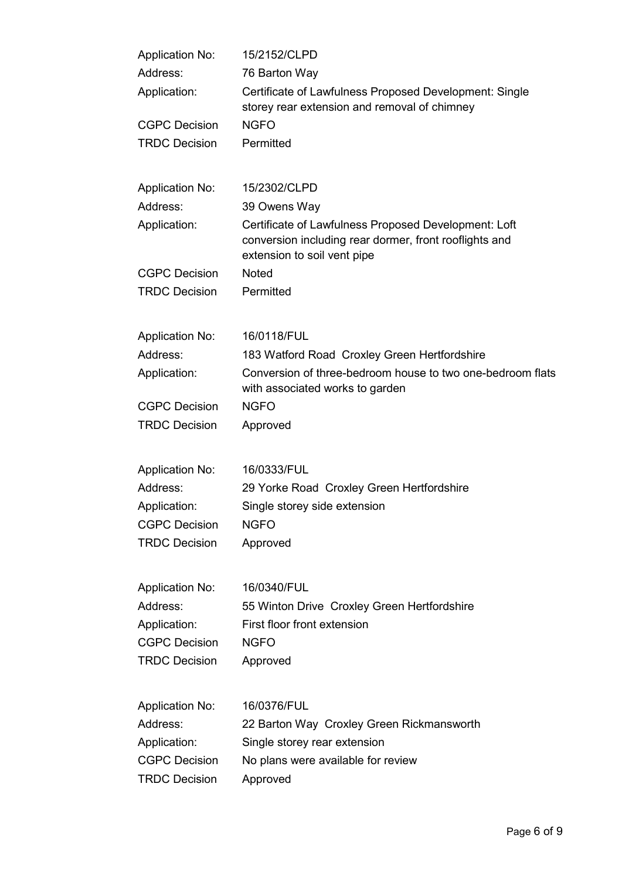| <b>Application No:</b> | 15/2152/CLPD                                                                                                                                  |
|------------------------|-----------------------------------------------------------------------------------------------------------------------------------------------|
| Address:               | 76 Barton Way                                                                                                                                 |
| Application:           | Certificate of Lawfulness Proposed Development: Single<br>storey rear extension and removal of chimney                                        |
| <b>CGPC Decision</b>   | <b>NGFO</b>                                                                                                                                   |
| <b>TRDC Decision</b>   | Permitted                                                                                                                                     |
| <b>Application No:</b> | 15/2302/CLPD                                                                                                                                  |
| Address:               | 39 Owens Way                                                                                                                                  |
| Application:           | Certificate of Lawfulness Proposed Development: Loft<br>conversion including rear dormer, front rooflights and<br>extension to soil vent pipe |
| <b>CGPC Decision</b>   | <b>Noted</b>                                                                                                                                  |
| <b>TRDC Decision</b>   | Permitted                                                                                                                                     |
| <b>Application No:</b> | 16/0118/FUL                                                                                                                                   |
| Address:               | 183 Watford Road Croxley Green Hertfordshire                                                                                                  |
| Application:           | Conversion of three-bedroom house to two one-bedroom flats<br>with associated works to garden                                                 |
| <b>CGPC Decision</b>   | <b>NGFO</b>                                                                                                                                   |
| <b>TRDC Decision</b>   | Approved                                                                                                                                      |
| <b>Application No:</b> | 16/0333/FUL                                                                                                                                   |
| Address:               | 29 Yorke Road Croxley Green Hertfordshire                                                                                                     |
| Application:           | Single storey side extension                                                                                                                  |
| <b>CGPC Decision</b>   | <b>NGFO</b>                                                                                                                                   |
| <b>TRDC Decision</b>   | Approved                                                                                                                                      |
| <b>Application No:</b> | 16/0340/FUL                                                                                                                                   |
| Address:               | 55 Winton Drive Croxley Green Hertfordshire                                                                                                   |
| Application:           | First floor front extension                                                                                                                   |
| <b>CGPC Decision</b>   | <b>NGFO</b>                                                                                                                                   |
| <b>TRDC Decision</b>   | Approved                                                                                                                                      |
| <b>Application No:</b> | 16/0376/FUL                                                                                                                                   |
| Address:               | 22 Barton Way Croxley Green Rickmansworth                                                                                                     |
| Application:           | Single storey rear extension                                                                                                                  |
| <b>CGPC Decision</b>   | No plans were available for review                                                                                                            |
| <b>TRDC Decision</b>   | Approved                                                                                                                                      |
|                        |                                                                                                                                               |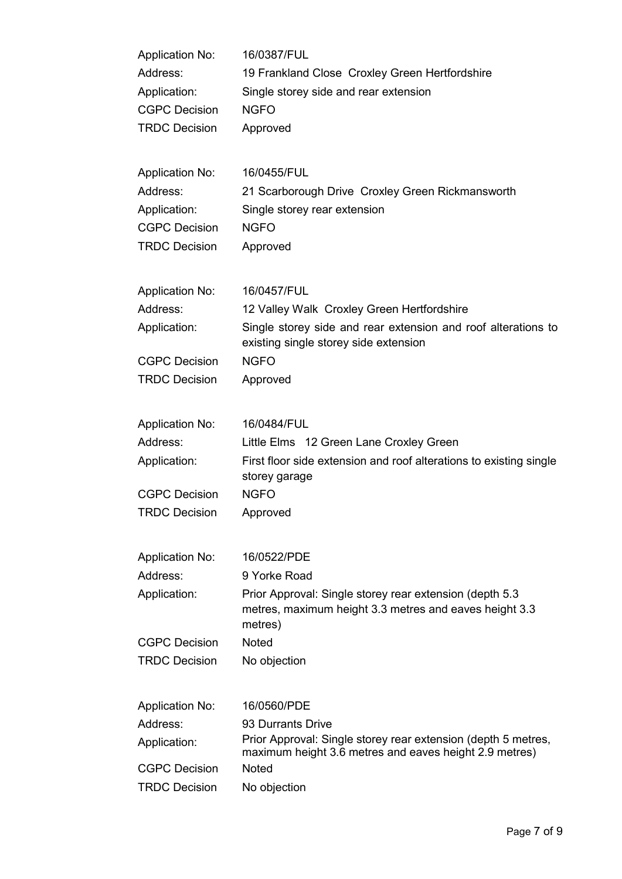| <b>Application No:</b> | 16/0387/FUL                                                                                                                   |
|------------------------|-------------------------------------------------------------------------------------------------------------------------------|
| Address:               | 19 Frankland Close Croxley Green Hertfordshire                                                                                |
| Application:           | Single storey side and rear extension                                                                                         |
| <b>CGPC Decision</b>   | <b>NGFO</b>                                                                                                                   |
| <b>TRDC Decision</b>   | Approved                                                                                                                      |
| <b>Application No:</b> | 16/0455/FUL                                                                                                                   |
| Address:               | 21 Scarborough Drive Croxley Green Rickmansworth                                                                              |
| Application:           | Single storey rear extension                                                                                                  |
| <b>CGPC Decision</b>   | <b>NGFO</b>                                                                                                                   |
| <b>TRDC Decision</b>   | Approved                                                                                                                      |
| <b>Application No:</b> | 16/0457/FUL                                                                                                                   |
| Address:               | 12 Valley Walk Croxley Green Hertfordshire                                                                                    |
| Application:           | Single storey side and rear extension and roof alterations to<br>existing single storey side extension                        |
| <b>CGPC Decision</b>   | <b>NGFO</b>                                                                                                                   |
| <b>TRDC Decision</b>   | Approved                                                                                                                      |
| <b>Application No:</b> | 16/0484/FUL                                                                                                                   |
| Address:               | Little Elms 12 Green Lane Croxley Green                                                                                       |
| Application:           | First floor side extension and roof alterations to existing single<br>storey garage                                           |
| <b>CGPC Decision</b>   | <b>NGFO</b>                                                                                                                   |
| <b>TRDC Decision</b>   | Approved                                                                                                                      |
| <b>Application No:</b> | 16/0522/PDE                                                                                                                   |
| Address:               | 9 Yorke Road                                                                                                                  |
| Application:           | Prior Approval: Single storey rear extension (depth 5.3)<br>metres, maximum height 3.3 metres and eaves height 3.3<br>metres) |
| <b>CGPC Decision</b>   | <b>Noted</b>                                                                                                                  |
| <b>TRDC Decision</b>   | No objection                                                                                                                  |
| <b>Application No:</b> | 16/0560/PDE                                                                                                                   |
| Address:               | 93 Durrants Drive                                                                                                             |
| Application:           | Prior Approval: Single storey rear extension (depth 5 metres,<br>maximum height 3.6 metres and eaves height 2.9 metres)       |
| <b>CGPC Decision</b>   | <b>Noted</b>                                                                                                                  |
| <b>TRDC Decision</b>   | No objection                                                                                                                  |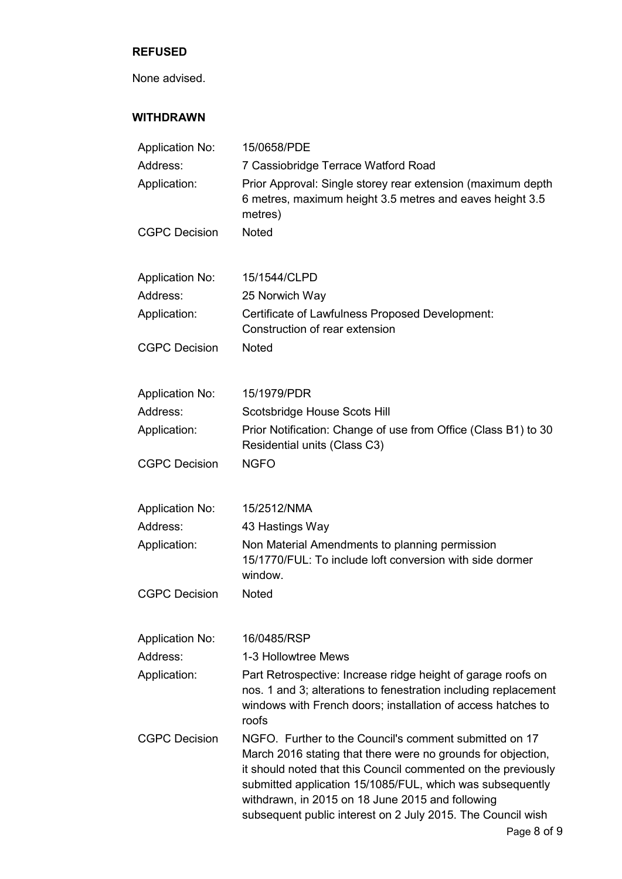## **REFUSED**

None advised.

# **WITHDRAWN**

| <b>Application No:</b> | 15/0658/PDE                                                                                                                                                                                                                                                                                                                                                             |
|------------------------|-------------------------------------------------------------------------------------------------------------------------------------------------------------------------------------------------------------------------------------------------------------------------------------------------------------------------------------------------------------------------|
| Address:               | 7 Cassiobridge Terrace Watford Road                                                                                                                                                                                                                                                                                                                                     |
| Application:           | Prior Approval: Single storey rear extension (maximum depth<br>6 metres, maximum height 3.5 metres and eaves height 3.5<br>metres)                                                                                                                                                                                                                                      |
| <b>CGPC Decision</b>   | <b>Noted</b>                                                                                                                                                                                                                                                                                                                                                            |
| <b>Application No:</b> | 15/1544/CLPD                                                                                                                                                                                                                                                                                                                                                            |
| Address:               | 25 Norwich Way                                                                                                                                                                                                                                                                                                                                                          |
| Application:           | Certificate of Lawfulness Proposed Development:<br>Construction of rear extension                                                                                                                                                                                                                                                                                       |
| <b>CGPC Decision</b>   | <b>Noted</b>                                                                                                                                                                                                                                                                                                                                                            |
| <b>Application No:</b> | 15/1979/PDR                                                                                                                                                                                                                                                                                                                                                             |
| Address:               | Scotsbridge House Scots Hill                                                                                                                                                                                                                                                                                                                                            |
| Application:           | Prior Notification: Change of use from Office (Class B1) to 30<br>Residential units (Class C3)                                                                                                                                                                                                                                                                          |
| <b>CGPC Decision</b>   | <b>NGFO</b>                                                                                                                                                                                                                                                                                                                                                             |
| <b>Application No:</b> | 15/2512/NMA                                                                                                                                                                                                                                                                                                                                                             |
| Address:               | 43 Hastings Way                                                                                                                                                                                                                                                                                                                                                         |
| Application:           | Non Material Amendments to planning permission<br>15/1770/FUL: To include loft conversion with side dormer<br>window.                                                                                                                                                                                                                                                   |
| <b>CGPC Decision</b>   | <b>Noted</b>                                                                                                                                                                                                                                                                                                                                                            |
| <b>Application No:</b> | 16/0485/RSP                                                                                                                                                                                                                                                                                                                                                             |
| Address:               | 1-3 Hollowtree Mews                                                                                                                                                                                                                                                                                                                                                     |
| Application:           | Part Retrospective: Increase ridge height of garage roofs on<br>nos. 1 and 3; alterations to fenestration including replacement<br>windows with French doors; installation of access hatches to<br>roofs                                                                                                                                                                |
| <b>CGPC Decision</b>   | NGFO. Further to the Council's comment submitted on 17<br>March 2016 stating that there were no grounds for objection,<br>it should noted that this Council commented on the previously<br>submitted application 15/1085/FUL, which was subsequently<br>withdrawn, in 2015 on 18 June 2015 and following<br>subsequent public interest on 2 July 2015. The Council wish |